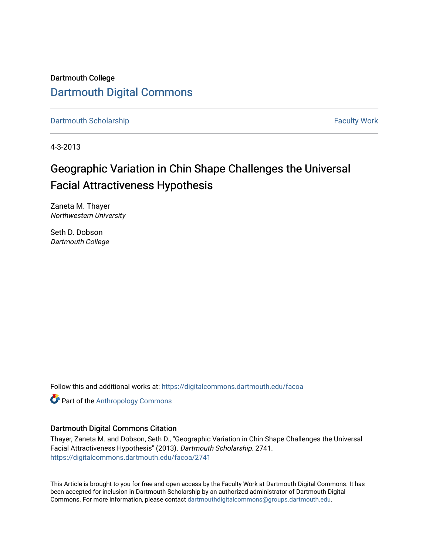Dartmouth College [Dartmouth Digital Commons](https://digitalcommons.dartmouth.edu/) 

[Dartmouth Scholarship](https://digitalcommons.dartmouth.edu/facoa) Faculty Work

4-3-2013

# Geographic Variation in Chin Shape Challenges the Universal Facial Attractiveness Hypothesis

Zaneta M. Thayer Northwestern University

Seth D. Dobson Dartmouth College

Follow this and additional works at: [https://digitalcommons.dartmouth.edu/facoa](https://digitalcommons.dartmouth.edu/facoa?utm_source=digitalcommons.dartmouth.edu%2Ffacoa%2F2741&utm_medium=PDF&utm_campaign=PDFCoverPages)

**Part of the [Anthropology Commons](http://network.bepress.com/hgg/discipline/318?utm_source=digitalcommons.dartmouth.edu%2Ffacoa%2F2741&utm_medium=PDF&utm_campaign=PDFCoverPages)** 

# Dartmouth Digital Commons Citation

Thayer, Zaneta M. and Dobson, Seth D., "Geographic Variation in Chin Shape Challenges the Universal Facial Attractiveness Hypothesis" (2013). Dartmouth Scholarship. 2741. [https://digitalcommons.dartmouth.edu/facoa/2741](https://digitalcommons.dartmouth.edu/facoa/2741?utm_source=digitalcommons.dartmouth.edu%2Ffacoa%2F2741&utm_medium=PDF&utm_campaign=PDFCoverPages) 

This Article is brought to you for free and open access by the Faculty Work at Dartmouth Digital Commons. It has been accepted for inclusion in Dartmouth Scholarship by an authorized administrator of Dartmouth Digital Commons. For more information, please contact [dartmouthdigitalcommons@groups.dartmouth.edu](mailto:dartmouthdigitalcommons@groups.dartmouth.edu).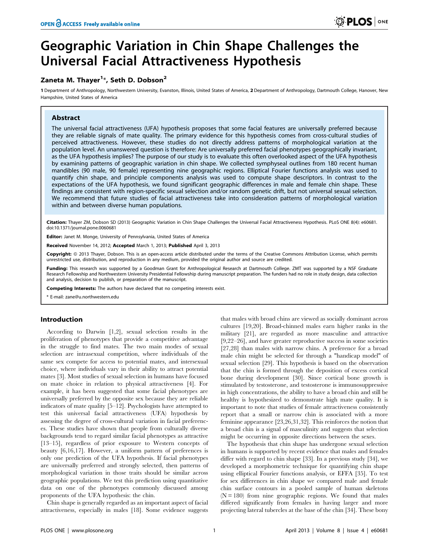# Geographic Variation in Chin Shape Challenges the Universal Facial Attractiveness Hypothesis

# Zaneta M. Thayer<sup>1</sup>\*, Seth D. Dobson<sup>2</sup>

1 Department of Anthropology, Northwestern University, Evanston, Illinois, United States of America, 2 Department of Anthropology, Dartmouth College, Hanover, New Hampshire, United States of America

# Abstract

The universal facial attractiveness (UFA) hypothesis proposes that some facial features are universally preferred because they are reliable signals of mate quality. The primary evidence for this hypothesis comes from cross-cultural studies of perceived attractiveness. However, these studies do not directly address patterns of morphological variation at the population level. An unanswered question is therefore: Are universally preferred facial phenotypes geographically invariant, as the UFA hypothesis implies? The purpose of our study is to evaluate this often overlooked aspect of the UFA hypothesis by examining patterns of geographic variation in chin shape. We collected symphyseal outlines from 180 recent human mandibles (90 male, 90 female) representing nine geographic regions. Elliptical Fourier functions analysis was used to quantify chin shape, and principle components analysis was used to compute shape descriptors. In contrast to the expectations of the UFA hypothesis, we found significant geographic differences in male and female chin shape. These findings are consistent with region-specific sexual selection and/or random genetic drift, but not universal sexual selection. We recommend that future studies of facial attractiveness take into consideration patterns of morphological variation within and between diverse human populations.

Citation: Thayer ZM, Dobson SD (2013) Geographic Variation in Chin Shape Challenges the Universal Facial Attractiveness Hypothesis. PLoS ONE 8(4): e60681. doi:10.1371/journal.pone.0060681

Editor: Janet M. Monge, University of Pennsylvania, United States of America

Received November 14, 2012; Accepted March 1, 2013; Published April 3, 2013

Copyright: © 2013 Thayer, Dobson. This is an open-access article distributed under the terms of the Creative Commons Attribution License, which permits unrestricted use, distribution, and reproduction in any medium, provided the original author and source are credited.

Funding: This research was supported by a Goodman Grant for Anthropological Research at Dartmouth College. ZMT was supported by a NSF Graduate Research Fellowship and Northwestern University Presidential Fellowship during manuscript preparation. The funders had no role in study design, data collection and analysis, decision to publish, or preparation of the manuscript.

Competing Interests: The authors have declared that no competing interests exist.

\* E-mail: zane@u.northwestern.edu

## Introduction

According to Darwin [1,2], sexual selection results in the proliferation of phenotypes that provide a competitive advantage in the struggle to find mates. The two main modes of sexual selection are intrasexual competition, where individuals of the same sex compete for access to potential mates, and intersexual choice, where individuals vary in their ability to attract potential mates [3]. Most studies of sexual selection in humans have focused on mate choice in relation to physical attractiveness [4]. For example, it has been suggested that some facial phenotypes are universally preferred by the opposite sex because they are reliable indicators of mate quality [5–12]. Psychologists have attempted to test this universal facial attractiveness (UFA) hypothesis by assessing the degree of cross-cultural variation in facial preferences. These studies have shown that people from culturally diverse backgrounds tend to regard similar facial phenotypes as attractive [13–15], regardless of prior exposure to Western concepts of beauty [6,16,17]. However, a uniform pattern of preferences is only one prediction of the UFA hypothesis. If facial phenotypes are universally preferred and strongly selected, then patterns of morphological variation in those traits should be similar across geographic populations. We test this prediction using quantitative data on one of the phenotypes commonly discussed among proponents of the UFA hypothesis: the chin.

Chin shape is generally regarded as an important aspect of facial attractiveness, especially in males [18]. Some evidence suggests that males with broad chins are viewed as socially dominant across cultures [19,20]. Broad-chinned males earn higher ranks in the military [21], are regarded as more masculine and attractive [9,22–26], and have greater reproductive success in some societies [27,28] than males with narrow chins. A preference for a broad male chin might be selected for through a "handicap model" of sexual selection [29]. This hypothesis is based on the observation that the chin is formed through the deposition of excess cortical bone during development [30]. Since cortical bone growth is stimulated by testosterone, and testosterone is immunosuppressive in high concentrations, the ability to have a broad chin and still be healthy is hypothesized to demonstrate high mate quality. It is important to note that studies of female attractiveness consistently report that a small or narrow chin is associated with a more feminine appearance [23,26,31,32]. This reinforces the notion that a broad chin is a signal of masculinity and suggests that selection might be occurring in opposite directions between the sexes.

The hypothesis that chin shape has undergone sexual selection in humans is supported by recent evidence that males and females differ with regard to chin shape [33]. In a previous study [34], we developed a morphometric technique for quantifying chin shape using elliptical Fourier functions analysis, or EFFA [35]. To test for sex differences in chin shape we compared male and female chin surface contours in a pooled sample of human skeletons  $(N = 180)$  from nine geographic regions. We found that males differed significantly from females in having larger and more projecting lateral tubercles at the base of the chin [34]. These bony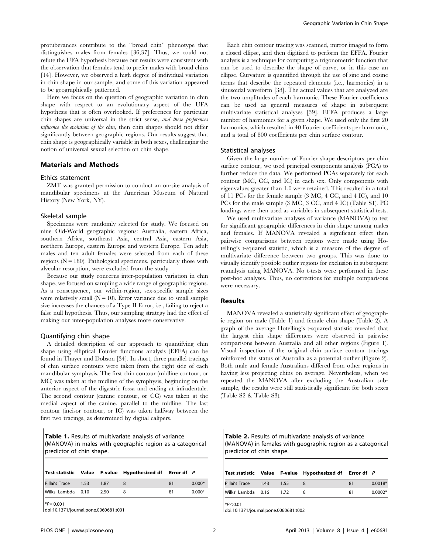protuberances contribute to the ''broad chin'' phenotype that distinguishes males from females [36,37]. Thus, we could not refute the UFA hypothesis because our results were consistent with the observation that females tend to prefer males with broad chins [14]. However, we observed a high degree of individual variation in chin shape in our sample, and some of this variation appeared to be geographically patterned.

Here we focus on the question of geographic variation in chin shape with respect to an evolutionary aspect of the UFA hypothesis that is often overlooked. If preferences for particular chin shapes are universal in the strict sense, and these preferences influence the evolution of the chin, then chin shapes should not differ significantly between geographic regions. Our results suggest that chin shape is geographically variable in both sexes, challenging the notion of universal sexual selection on chin shape.

### Materials and Methods

#### Ethics statement

ZMT was granted permission to conduct an on-site analysis of mandibular specimens at the American Museum of Natural History (New York, NY).

#### Skeletal sample

Specimens were randomly selected for study. We focused on nine Old-World geographic regions: Australia, eastern Africa, southern Africa, southeast Asia, central Asia, eastern Asia, northern Europe, eastern Europe and western Europe. Ten adult males and ten adult females were selected from each of these regions  $(N = 180)$ . Pathological specimens, particularly those with alveolar resorption, were excluded from the study.

Because our study concerns inter-population variation in chin shape, we focused on sampling a wide range of geographic regions. As a consequence, our within-region, sex-specific sample sizes were relatively small  $(N = 10)$ . Error variance due to small sample size increases the chances of a Type II Error, i.e., failing to reject a false null hypothesis. Thus, our sampling strategy had the effect of making our inter-population analyses more conservative.

## Quantifying chin shape

A detailed description of our approach to quantifying chin shape using elliptical Fourier functions analysis (EFFA) can be found in Thayer and Dobson [34]. In short, three parallel tracings of chin surface contours were taken from the right side of each mandibular symphysis. The first chin contour (midline contour, or MC) was taken at the midline of the symphysis, beginning on the anterior aspect of the digastric fossa and ending at infradentale. The second contour (canine contour, or CC) was taken at the medial aspect of the canine, parallel to the midline. The last contour (incisor contour, or IC) was taken halfway between the first two tracings, as determined by digital calipers.

Table 1. Results of multivariate analysis of variance (MANOVA) in males with geographic region as a categorical predictor of chin shape.

|                     |         | Test statistic Value F-value Hypothesized df Error df P |    |          |
|---------------------|---------|---------------------------------------------------------|----|----------|
| Pillai's Trace 1.53 | $-1.87$ |                                                         | 81 | $0.000*$ |
| Wilks' Lambda 0.10  | 2.50    |                                                         | 81 | $0.000*$ |

 $*P<0.001$ 

doi:10.1371/journal.pone.0060681.t001

Each chin contour tracing was scanned, mirror imaged to form a closed ellipse, and then digitized to perform the EFFA. Fourier analysis is a technique for computing a trigonometric function that can be used to describe the shape of curve, or in this case an ellipse. Curvature is quantified through the use of sine and cosine terms that describe the repeated elements (i.e., harmonics) in a sinusoidal waveform [38]. The actual values that are analyzed are the two amplitudes of each harmonic. These Fourier coefficients can be used as general measures of shape in subsequent multivariate statistical analyses [39]. EFFA produces a large number of harmonics for a given shape. We used only the first 20 harmonics, which resulted in 40 Fourier coefficients per harmonic, and a total of 800 coefficients per chin surface contour.

#### Statistical analyses

Given the large number of Fourier shape descriptors per chin surface contour, we used principal components analysis (PCA) to further reduce the data. We performed PCAs separately for each contour (MC, CC, and IC) in each sex. Only components with eigenvalues greater than 1.0 were retained. This resulted in a total of 11 PCs for the female sample (3 MC, 4 CC, and 4 IC), and 10 PCs for the male sample (3 MC, 3 CC, and 4 IC) (Table S1). PC loadings were then used as variables in subsequent statistical tests.

We used multivariate analyses of variance (MANOVA) to test for significant geographic differences in chin shape among males and females. If MANOVA revealed a significant effect then pairwise comparisons between regions were made using Hotelling's t-squared statistic, which is a measure of the degree of multivariate difference between two groups. This was done to visually identify possible outlier regions for exclusion in subsequent reanalysis using MANOVA. No t-tests were performed in these post-hoc analyses. Thus, no corrections for multiple comparisons were necessary.

# Results

MANOVA revealed a statistically significant effect of geographic region on male (Table 1) and female chin shape (Table 2). A graph of the average Hotelling's t-squared statistic revealed that the largest chin shape differences were observed in pairwise comparisons between Australia and all other regions (Figure 1). Visual inspection of the original chin surface contour tracings reinforced the status of Australia as a potential outlier (Figure 2). Both male and female Australians differed from other regions in having less projecting chins on average. Nevertheless, when we repeated the MANOVA after excluding the Australian subsample, the results were still statistically significant for both sexes (Table S2 & Table S3).

Table 2. Results of multivariate analysis of variance (MANOVA) in females with geographic region as a categorical predictor of chin shape.

|                    |      |      | Test statistic Value F-value Hypothesized df Error df P |    |           |
|--------------------|------|------|---------------------------------------------------------|----|-----------|
| Pillai's Trace     | 1.43 | 1.55 |                                                         | 81 | $0.0018*$ |
| Wilks' Lambda 0.16 |      | 1.72 |                                                         | 81 | $0.0002*$ |

 $*P<0.01$ 

doi:10.1371/journal.pone.0060681.t002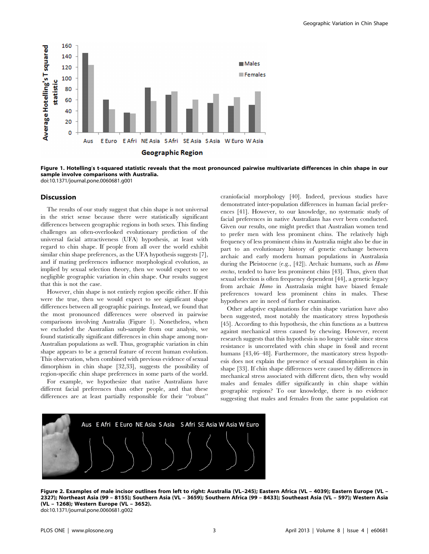

Figure 1. Hotelling's t-squared statistic reveals that the most pronounced pairwise multivariate differences in chin shape in our sample involve comparisons with Australia. doi:10.1371/journal.pone.0060681.g001

#### **Discussion**

The results of our study suggest that chin shape is not universal in the strict sense because there were statistically significant differences between geographic regions in both sexes. This finding challenges an often-overlooked evolutionary prediction of the universal facial attractiveness (UFA) hypothesis, at least with regard to chin shape. If people from all over the world exhibit similar chin shape preferences, as the UFA hypothesis suggests [7], and if mating preferences influence morphological evolution, as implied by sexual selection theory, then we would expect to see negligible geographic variation in chin shape. Our results suggest that this is not the case.

However, chin shape is not entirely region specific either. If this were the true, then we would expect to see significant shape differences between all geographic pairings. Instead, we found that the most pronounced differences were observed in pairwise comparisons involving Australia (Figure 1). Nonetheless, when we excluded the Australian sub-sample from our analysis, we found statistically significant differences in chin shape among non-Australian populations as well. Thus, geographic variation in chin shape appears to be a general feature of recent human evolution. This observation, when combined with previous evidence of sexual dimorphism in chin shape [32,33], suggests the possibility of region-specific chin shape preferences in some parts of the world.

For example, we hypothesize that native Australians have different facial preferences than other people, and that these differences are at least partially responsible for their ''robust''

craniofacial morphology [40]. Indeed, previous studies have demonstrated inter-population differences in human facial preferences [41]. However, to our knowledge, no systematic study of facial preferences in native Australians has ever been conducted. Given our results, one might predict that Australian women tend to prefer men with less prominent chins. The relatively high frequency of less prominent chins in Australia might also be due in part to an evolutionary history of genetic exchange between archaic and early modern human populations in Australasia during the Pleistocene (e.g., [42]). Archaic humans, such as Homo erectus, tended to have less prominent chins [43]. Thus, given that sexual selection is often frequency dependent [44], a genetic legacy from archaic Homo in Australasia might have biased female preferences toward less prominent chins in males. These hypotheses are in need of further examination.

Other adaptive explanations for chin shape variation have also been suggested, most notably the masticatory stress hypothesis [45]. According to this hypothesis, the chin functions as a buttress against mechanical stress caused by chewing. However, recent research suggests that this hypothesis is no longer viable since stress resistance is uncorrelated with chin shape in fossil and recent humans [43,46–48]. Furthermore, the masticatory stress hypothesis does not explain the presence of sexual dimorphism in chin shape [33]. If chin shape differences were caused by differences in mechanical stress associated with different diets, then why would males and females differ significantly in chin shape within geographic regions? To our knowledge, there is no evidence suggesting that males and females from the same population eat



Figure 2. Examples of male incisor outlines from left to right: Australia (VL–245); Eastern Africa (VL – 4039); Eastern Europe (VL – 2327); Northeast Asia (99 – 8155); Southern Asia (VL – 3659); Southern Africa (99 – 8433); Southeast Asia (VL – 597); Western Asia (VL – 1268); Western Europe (VL – 3652). doi:10.1371/journal.pone.0060681.g002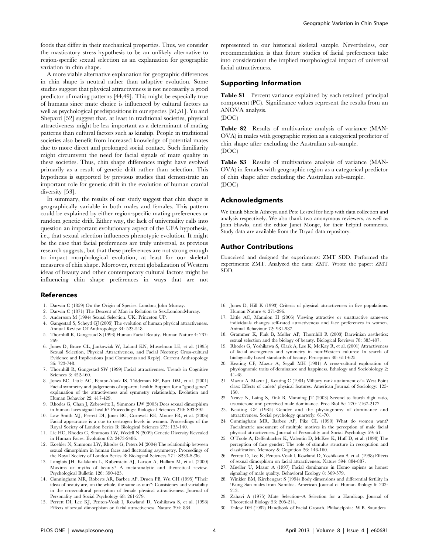foods that differ in their mechanical properties. Thus, we consider the masticatory stress hypothesis to be an unlikely alternative to region-specific sexual selection as an explanation for geographic variation in chin shape.

A more viable alternative explanation for geographic differences in chin shape is neutral rather than adaptive evolution. Some studies suggest that physical attractiveness is not necessarily a good predictor of mating patterns [44,49]. This might be especially true of humans since mate choice is influenced by cultural factors as well as psychological predispositions in our species [50,51]. Yu and Shepard [52] suggest that, at least in traditional societies, physical attractiveness might be less important as a determinant of mating patterns than cultural factors such as kinship. People in traditional societies also benefit from increased knowledge of potential mates due to more direct and prolonged social contact. Such familiarity might circumvent the need for facial signals of mate quality in these societies. Thus, chin shape differences might have evolved primarily as a result of genetic drift rather than selection. This hypothesis is supported by previous studies that demonstrate an important role for genetic drift in the evolution of human cranial diversity [53].

In summary, the results of our study suggest that chin shape is geographically variable in both males and females. This pattern could be explained by either region-specific mating preferences or random genetic drift. Either way, the lack of universality calls into question an important evolutionary aspect of the UFA hypothesis, i.e., that sexual selection influences phenotypic evolution. It might be the case that facial preferences are truly universal, as previous research suggests, but that these preferences are not strong enough to impact morphological evolution, at least for our skeletal measures of chin shape. Moreover, recent globalization of Western ideas of beauty and other contemporary cultural factors might be influencing chin shape preferences in ways that are not

#### References

- 1. Darwin C (1859) On the Origin of Species. London: John Murray.
- 2. Darwin C (1871) The Descent of Man in Relation to Sex.London:Murray.
- 3. Andersson M (1994) Sexual Selection. UK: Princeton UP.
- 4. Gangestad S, Scheyd GJ (2005) The evolution of human physical attractiveness. Annual Review Of Anthropology 34: 523-548.
- 5. Thornhill R, Gangestad S (1993) Human Facial Beauty. Human Nature 4: 237- 269.
- 6. Jones D, Brace CL, Jankowiak W, Laland KN, Musselman LE, et al. (1995) Sexual Selection, Physical Attractiveness, and Facial Neoteny: Cross-cultural Evidence and Implications [and Comments and Reply]. Current Anthropology 36: 723-748.
- 7. Thornhill R, Gangestad SW (1999) Facial attractiveness. Trends in Cognitive Sciences 3: 452-460.
- 8. Jones BC, Little AC, Penton-Voak IS, Tiddeman BP, Burt DM, et al. (2001) Facial symmetry and judgements of apparent health: Support for a "good genes" explanation of the attractiveness and symmetry relationship. Evolution and Human Behavior 22: 417-429.
- 9. Rhodes G, Chan J, Zebrowitz L, Simmons LW (2003) Does sexual dimorphism in human faces signal health? Proceedings: Biological Sciences 270: S93-S95.
- 10. Law Smith MJ, Perrett DI, Jones BC, Cornwell RE, Moore FR, et al. (2006) Facial appearance is a cue to oestrogen levels in women. Proceedings of the Royal Society of London Series B: Biological Sciences 273: 135-140.
- 11. Lie HC, Rhodes G, Simmons LW, Wedell N (2009) Genetic Diversity Revealed in Human Faces. Evolution 62: 2473-2486.
- 12. Koehler N, Simmons LW, Rhodes G, Peters M (2004) The relationship between sexual dimorphism in human faces and fluctuating asymmetry. Proceedings of the Royal Society of London Series B: Biological Sciences 271: S233-S236.
- 13. Langlois JH, Kalakanis L, Rubenstein AJ, Larson A, Hallam M, et al. (2000) Maxims or myths of beauty? A meta-analytic and theoretical review. Psychological Bulletin 126: 390-423.
- 14. Cunningham MR, Roberts AR, Barbee AP, Druen PB, Wu CH (1995) "Their ideas of beauty are, on the whole, the same as ours": Consistency and variability in the cross-cultural perception of female physical attractiveness. Journal of Personality and Social Psychology 68: 261-279.
- 15. Perrett DI, Lee KJ, Penton-Voak I, Rowland D, Yoshikawa S, et al. (1998) Effects of sexual dimorphism on facial attractiveness. Nature 394: 884.

represented in our historical skeletal sample. Nevertheless, our recommendation is that future studies of facial preferences take into consideration the implied morphological impact of universal facial attractiveness.

## Supporting Information

Table S1 Percent variance explained by each retained principal component (PC). Significance values represent the results from an ANOVA analysis.

(DOC)

Table S2 Results of multivariate analysis of variance (MAN-OVA) in males with geographic region as a categorical predictor of chin shape after excluding the Australian sub-sample. (DOC)

Table S3 Results of multivariate analysis of variance (MAN-OVA) in females with geographic region as a categorical predictor of chin shape after excluding the Australian sub-sample. (DOC)

#### Acknowledgments

We thank Sheela Athreya and Pete Lestrel for help with data collection and analysis respectively. We also thank two anonymous reviewers, as well as John Hawks, and the editor Janet Monge, for their helpful comments. Study data are available from the Dryad data repository.

# Author Contributions

Conceived and designed the experiments: ZMT SDD. Performed the experiments: ZMT. Analyzed the data: ZMT. Wrote the paper: ZMT SDD.

- 16. Jones D, Hill K (1993) Criteria of physical attractiveness in five populations. Human Nature 4: 271-296.
- 17. Little AC, Mannion H (2006) Viewing attractive or unattractive same-sex individuals changes self-rated attractiveness and face preferences in women. Animal Behaviour 72: 981-987.
- 18. Grammer K, Fink B, Møller AP, Thornhill R (2003) Darwinian aesthetics: sexual selection and the biology of beauty. Biological Reviews 78: 385-407.
- 19. Rhodes G, Yoshikawa S, Clark A, Lee K, McKay R, et al. (2001) Attractiveness of facial averageness and symmetry in non-Western cultures: In search of biologically based standards of beauty. Perception 30: 611-625.
- 20. Keating CF, Mazur A, Segall MH (1981) A cross-cultural exploration of physiognomic traits of dominance and happiness. Ethology and Sociobiology 2: 41-48.
- 21. Mazur A, Mazur J, Keating C (1984) Military rank attainment of a West Point class: Effects of cadets' physical features. American Journal of Sociology: 125- 150.
- 22. Neave N, Laing S, Fink B, Manning JT (2003) Second to fourth digit ratio, testosterone and perceived male dominance. Proc Biol Sci 270: 2167-2172.
- 23. Keating CF (1985) Gender and the physiognomy of dominance and attractiveness. Social psychology quarterly: 61-70.
- 24. Cunningham MR, Barbee AP, Pike CL (1990) What do women want? Facialmetric assessment of multiple motives in the perception of male facial physical attractiveness. Journal of Personality and Social Psychology 59: 61.
- 25. O'Toole A, Deffenbacher K, Valentin D, McKee K, Huff D, et al. (1998) The perception of face gender: The role of stimulus structure in recognition and classification. Memory & Cognition 26: 146-160.
- 26. Perrett D, Lee K, Penton-Voak I, Rowland D, Yoshikawa S, et al. (1998) Effects of sexual dimorphism on facial attractiveness. Nature 394: 884-887.
- 27. Mueller U, Mazur A (1997) Facial dominance in Homo sapiens as honest signaling of male quality. Behavioral Ecology 8: 569-579.
- 28. Winkler EM, Kirchengast S (1994) Body dimensions and differential fertility in !Kung San males from Namibia. American Journal of Human Biology 6: 203- 213.
- 29. Zahavi A (1975) Mate Selection--A Selection for a Handicap. Journal of Theoretical Biology 53: 205-214.
- 30. Enlow DH (1982) Handbook of Facial Growth. Philadelphia: .W.B. Saunders